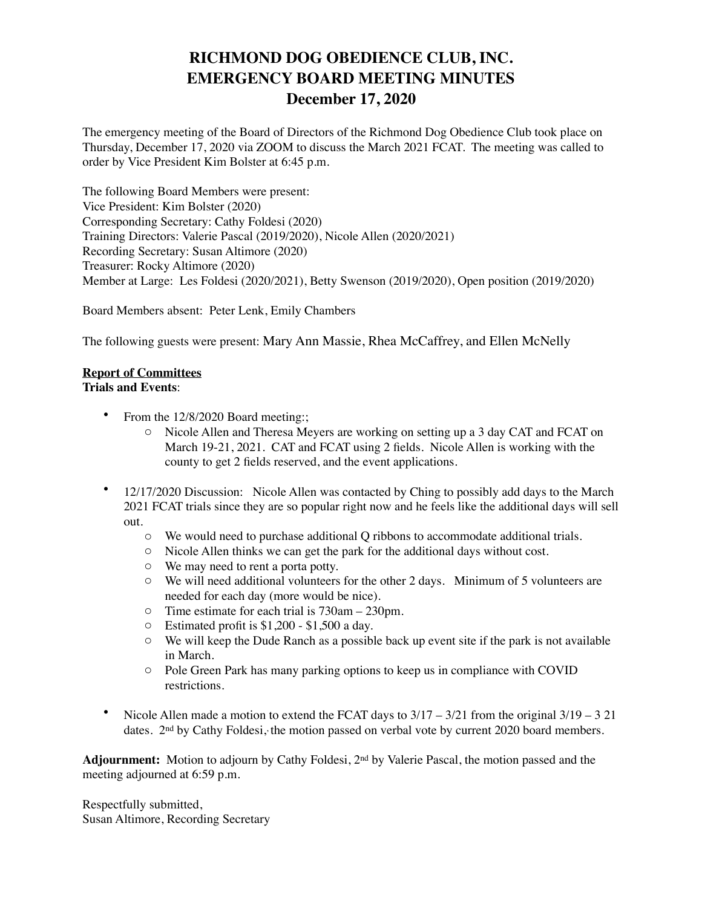## **RICHMOND DOG OBEDIENCE CLUB, INC. EMERGENCY BOARD MEETING MINUTES December 17, 2020**

The emergency meeting of the Board of Directors of the Richmond Dog Obedience Club took place on Thursday, December 17, 2020 via ZOOM to discuss the March 2021 FCAT. The meeting was called to order by Vice President Kim Bolster at 6:45 p.m.

The following Board Members were present: Vice President: Kim Bolster (2020) Corresponding Secretary: Cathy Foldesi (2020) Training Directors: Valerie Pascal (2019/2020), Nicole Allen (2020/2021) Recording Secretary: Susan Altimore (2020) Treasurer: Rocky Altimore (2020) Member at Large: Les Foldesi (2020/2021), Betty Swenson (2019/2020), Open position (2019/2020)

Board Members absent: Peter Lenk, Emily Chambers

The following guests were present: Mary Ann Massie, Rhea McCaffrey, and Ellen McNelly

## **Report of Committees**

## **Trials and Events**:

- From the 12/8/2020 Board meeting:;
	- o Nicole Allen and Theresa Meyers are working on setting up a 3 day CAT and FCAT on March 19-21, 2021. CAT and FCAT using 2 fields. Nicole Allen is working with the county to get 2 fields reserved, and the event applications.
- 12/17/2020 Discussion: Nicole Allen was contacted by Ching to possibly add days to the March 2021 FCAT trials since they are so popular right now and he feels like the additional days will sell out.
	- o We would need to purchase additional Q ribbons to accommodate additional trials.
	- o Nicole Allen thinks we can get the park for the additional days without cost.
	- o We may need to rent a porta potty.
	- o We will need additional volunteers for the other 2 days. Minimum of 5 volunteers are needed for each day (more would be nice).
	- o Time estimate for each trial is 730am 230pm.
	- o Estimated profit is \$1,200 \$1,500 a day.
	- o We will keep the Dude Ranch as a possible back up event site if the park is not available in March.
	- o Pole Green Park has many parking options to keep us in compliance with COVID restrictions.
- Nicole Allen made a motion to extend the FCAT days to  $3/17 3/21$  from the original  $3/19 3/21$ dates. 2<sup>nd</sup> by Cathy Foldesi, the motion passed on verbal vote by current 2020 board members.

**Adjournment:** Motion to adjourn by Cathy Foldesi, 2nd by Valerie Pascal, the motion passed and the meeting adjourned at 6:59 p.m.

Respectfully submitted, Susan Altimore, Recording Secretary